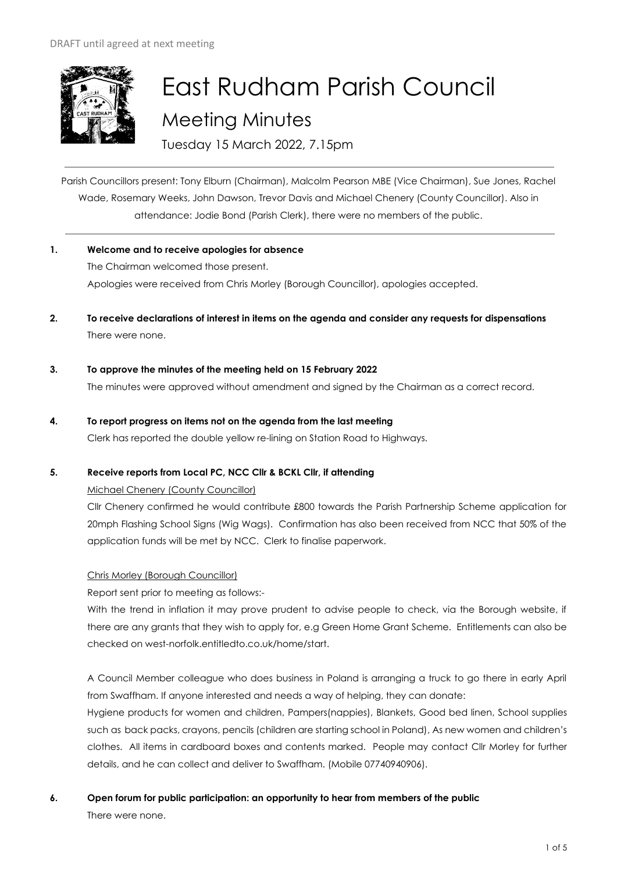

# East Rudham Parish Council Meeting Minutes

Tuesday 15 March 2022, 7.15pm

Parish Councillors present: Tony Elburn (Chairman), Malcolm Pearson MBE (Vice Chairman), Sue Jones, Rachel Wade, Rosemary Weeks, John Dawson, Trevor Davis and Michael Chenery (County Councillor). Also in attendance: Jodie Bond (Parish Clerk), there were no members of the public.

**1. Welcome and to receive apologies for absence**

The Chairman welcomed those present. Apologies were received from Chris Morley (Borough Councillor), apologies accepted.

- **2. To receive declarations of interest in items on the agenda and consider any requests for dispensations**  There were none.
- **3. To approve the minutes of the meeting held on 15 February 2022**

The minutes were approved without amendment and signed by the Chairman as a correct record.

**4. To report progress on items not on the agenda from the last meeting** 

Clerk has reported the double yellow re-lining on Station Road to Highways.

# **5. Receive reports from Local PC, NCC Cllr & BCKL Cllr, if attending**

# Michael Chenery (County Councillor)

Cllr Chenery confirmed he would contribute £800 towards the Parish Partnership Scheme application for 20mph Flashing School Signs (Wig Wags). Confirmation has also been received from NCC that 50% of the application funds will be met by NCC. Clerk to finalise paperwork.

# Chris Morley (Borough Councillor)

Report sent prior to meeting as follows:-

With the trend in inflation it may prove prudent to advise people to check, via the Borough website, if there are any grants that they wish to apply for, e.g Green Home Grant Scheme. Entitlements can also be checked on west-norfolk.entitledto.co.uk/home/start.

A Council Member colleague who does business in Poland is arranging a truck to go there in early April from Swaffham. If anyone interested and needs a way of helping, they can donate:

Hygiene products for women and children, Pampers(nappies), Blankets, Good bed linen, School supplies such as back packs, crayons, pencils (children are starting school in Poland), As new women and children's clothes. All items in cardboard boxes and contents marked. People may contact Cllr Morley for further details, and he can collect and deliver to Swaffham. (Mobile 07740940906).

# **6. Open forum for public participation: an opportunity to hear from members of the public**

There were none.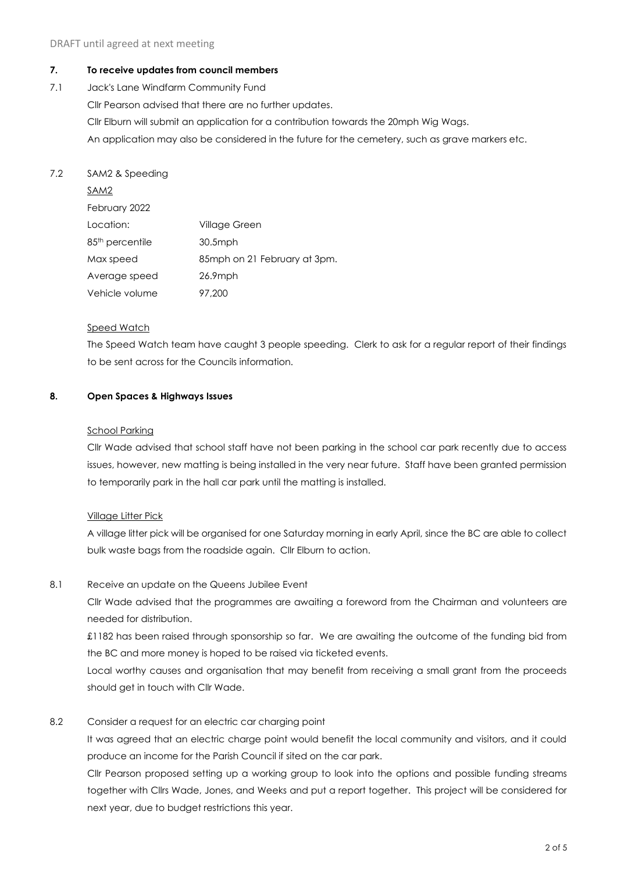# **7. To receive updates from council members**

7.1 Jack's Lane Windfarm Community Fund Cllr Pearson advised that there are no further updates. Cllr Elburn will submit an application for a contribution towards the 20mph Wig Wags. An application may also be considered in the future for the cemetery, such as grave markers etc.

# 7.2 SAM2 & Speeding

| SAM2                        |                               |
|-----------------------------|-------------------------------|
| February 2022               |                               |
| Location:                   | Village Green                 |
| 85 <sup>th</sup> percentile | $30.5$ mph                    |
| Max speed                   | 85 mph on 21 February at 3pm. |
| Average speed               | $26.9$ mph                    |
| Vehicle volume              | 97.200                        |

#### Speed Watch

The Speed Watch team have caught 3 people speeding. Clerk to ask for a regular report of their findings to be sent across for the Councils information.

# **8. Open Spaces & Highways Issues**

#### School Parking

Cllr Wade advised that school staff have not been parking in the school car park recently due to access issues, however, new matting is being installed in the very near future. Staff have been granted permission to temporarily park in the hall car park until the matting is installed.

# Village Litter Pick

A village litter pick will be organised for one Saturday morning in early April, since the BC are able to collect bulk waste bags from the roadside again. Cllr Elburn to action.

# 8.1 Receive an update on the Queens Jubilee Event

Cllr Wade advised that the programmes are awaiting a foreword from the Chairman and volunteers are needed for distribution.

£1182 has been raised through sponsorship so far. We are awaiting the outcome of the funding bid from the BC and more money is hoped to be raised via ticketed events.

Local worthy causes and organisation that may benefit from receiving a small grant from the proceeds should get in touch with Cllr Wade.

# 8.2 Consider a request for an electric car charging point

It was agreed that an electric charge point would benefit the local community and visitors, and it could produce an income for the Parish Council if sited on the car park.

Cllr Pearson proposed setting up a working group to look into the options and possible funding streams together with Cllrs Wade, Jones, and Weeks and put a report together. This project will be considered for next year, due to budget restrictions this year.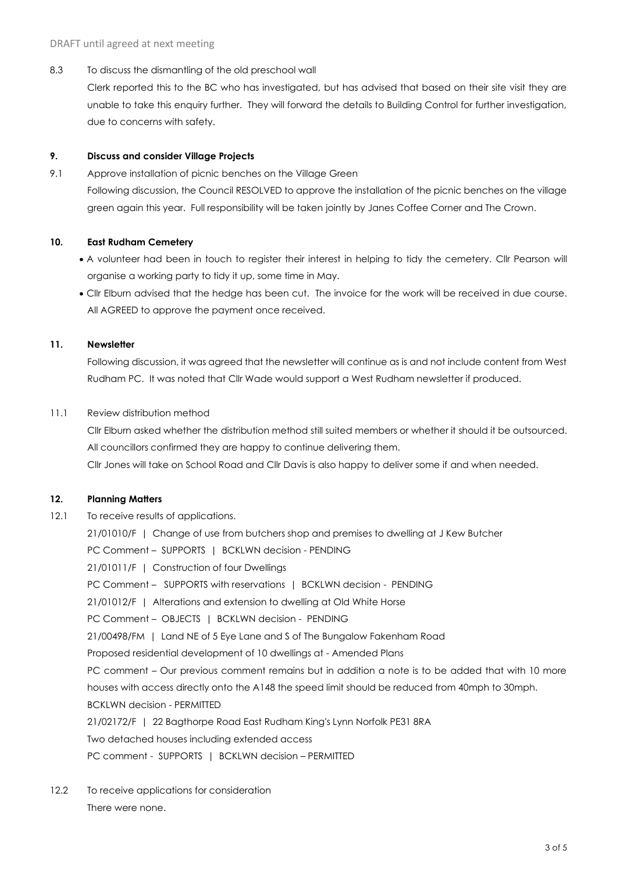8.3 To discuss the dismantling of the old preschool wall

Clerk reported this to the BC who has investigated, but has advised that based on their site visit they are unable to take this enquiry further. They will forward the details to Building Control for further investigation, due to concerns with safety.

#### **9. Discuss and consider Village Projects**

9.1 Approve installation of picnic benches on the Village Green Following discussion, the Council RESOLVED to approve the installation of the picnic benches on the village green again this year. Full responsibility will be taken jointly by Janes Coffee Corner and The Crown.

#### **10. East Rudham Cemetery**

- A volunteer had been in touch to register their interest in helping to tidy the cemetery. Cllr Pearson will organise a working party to tidy it up, some time in May.
- Cllr Elburn advised that the hedge has been cut. The invoice for the work will be received in due course. All AGREED to approve the payment once received.

#### **11. Newsletter**

Following discussion, it was agreed that the newsletter will continue as is and not include content from West Rudham PC. It was noted that Cllr Wade would support a West Rudham newsletter if produced.

#### 11.1 Review distribution method

Cllr Elburn asked whether the distribution method still suited members or whether it should it be outsourced. All councillors confirmed they are happy to continue delivering them.

Cllr Jones will take on School Road and Cllr Davis is also happy to deliver some if and when needed.

# **12. Planning Matters**

12.1 To receive results of applications.

21/01010/F | Change of use from butchers shop and premises to dwelling at J Kew Butcher PC Comment – SUPPORTS | BCKLWN decision - PENDING 21/01011/F | Construction of four Dwellings PC Comment – SUPPORTS with reservations | BCKLWN decision - PENDING 21/01012/F | Alterations and extension to dwelling at Old White Horse PC Comment – OBJECTS | BCKLWN decision - PENDING 21/00498/FM | Land NE of 5 Eye Lane and S of The Bungalow Fakenham Road Proposed residential development of 10 dwellings at - Amended Plans PC comment – Our previous comment remains but in addition a note is to be added that with 10 more houses with access directly onto the A148 the speed limit should be reduced from 40mph to 30mph. BCKLWN decision - PERMITTED 21/02172/F | 22 Bagthorpe Road East Rudham King's Lynn Norfolk PE31 8RA Two detached houses including extended access PC comment - SUPPORTS | BCKLWN decision – PERMITTED

12.2 To receive applications for consideration There were none.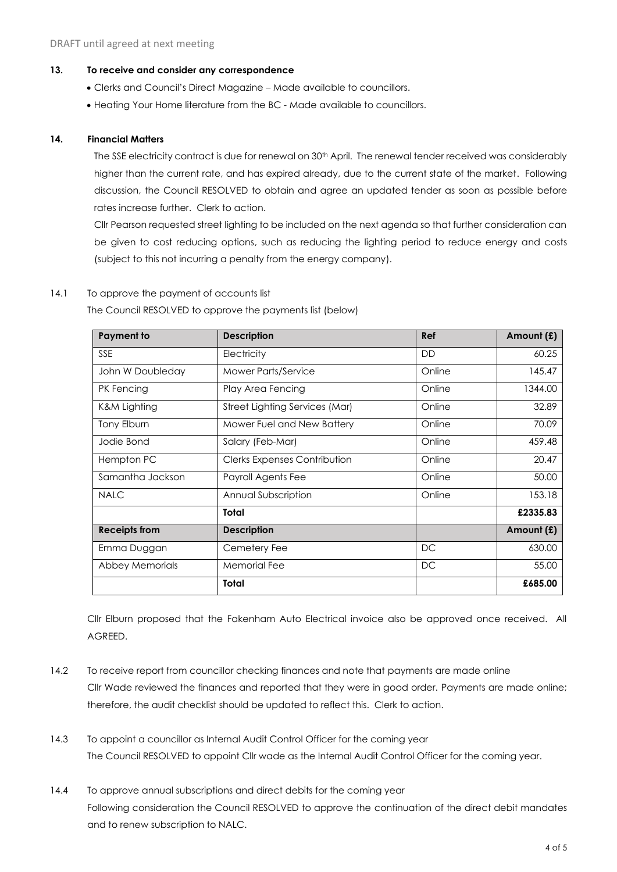#### **13. To receive and consider any correspondence**

- Clerks and Council's Direct Magazine Made available to councillors.
- Heating Your Home literature from the BC Made available to councillors.

#### **14. Financial Matters**

The SSE electricity contract is due for renewal on 30<sup>th</sup> April. The renewal tender received was considerably higher than the current rate, and has expired already, due to the current state of the market. Following discussion, the Council RESOLVED to obtain and agree an updated tender as soon as possible before rates increase further. Clerk to action.

Cllr Pearson requested street lighting to be included on the next agenda so that further consideration can be given to cost reducing options, such as reducing the lighting period to reduce energy and costs (subject to this not incurring a penalty from the energy company).

# 14.1 To approve the payment of accounts list

The Council RESOLVED to approve the payments list (below)

| <b>Payment to</b>       | <b>Description</b>                  | Ref       | Amount (£) |
|-------------------------|-------------------------------------|-----------|------------|
| <b>SSE</b>              | Electricity                         | <b>DD</b> | 60.25      |
| John W Doubleday        | <b>Mower Parts/Service</b>          | Online    | 145.47     |
| PK Fencing              | Play Area Fencing                   | Online    | 1344.00    |
| <b>K&amp;M Lighting</b> | Street Lighting Services (Mar)      | Online    | 32.89      |
| Tony Elburn             | Mower Fuel and New Battery          | Online    | 70.09      |
| Jodie Bond              | Salary (Feb-Mar)                    | Online    | 459.48     |
| Hempton PC              | <b>Clerks Expenses Contribution</b> | Online    | 20.47      |
| Samantha Jackson        | Payroll Agents Fee                  | Online    | 50.00      |
| <b>NALC</b>             | Annual Subscription                 | Online    | 153.18     |
|                         | <b>Total</b>                        |           | £2335.83   |
| <b>Receipts from</b>    | <b>Description</b>                  |           | Amount (£) |
| Emma Duggan             | Cemetery Fee                        | DC        | 630.00     |
| Abbey Memorials         | <b>Memorial Fee</b>                 | DC        | 55.00      |
|                         | Total                               |           | £685.00    |

Cllr Elburn proposed that the Fakenham Auto Electrical invoice also be approved once received. All AGREED.

- 14.2 To receive report from councillor checking finances and note that payments are made online Cllr Wade reviewed the finances and reported that they were in good order. Payments are made online; therefore, the audit checklist should be updated to reflect this. Clerk to action.
- 14.3 To appoint a councillor as Internal Audit Control Officer for the coming year The Council RESOLVED to appoint Cllr wade as the Internal Audit Control Officer for the coming year.
- 14.4 To approve annual subscriptions and direct debits for the comina year Following consideration the Council RESOLVED to approve the continuation of the direct debit mandates and to renew subscription to NALC.